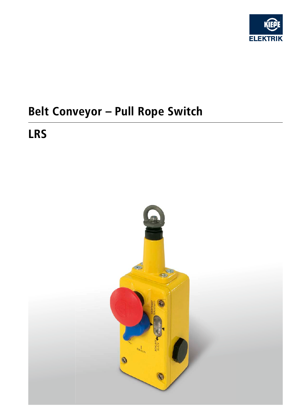

# **Belt Conveyor - Pull Rope Switch**

## **LRS**

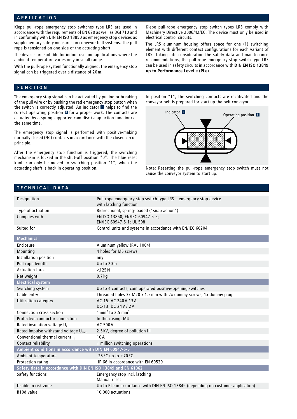#### **APPLICATION**

Kiepe pull-rope emergency stop switches type LRS are used in accordance with the requirements of EN 620 as well as BGI 710 and in conformity with DIN EN ISO 13850 as emergency stop devices as supplementary safety measures on conveyor belt systems. The pull rope is tensioned on one side of the actuating shaft.

The devices are suitable for indoor use and applications where the ambient temperature varies only in small range.

With the pull-rope system functionally aligned, the emergency stop signal can be triggered over a distance of 20 m.

Kiepe pull-rope emergency stop switch types LRS comply with Machinery Directive 2006/42/EC. The device must only be used in electrical control circuits.

The LRS aluminum housing offers space for one (1) switching element with different contact configurations for each variant of LRS. Taking into consideration the safety data and maintenance recommendations, the pull-rope emergency stop switch type LRS can be used in safety circuits in accordance with **DIN EN ISO 13849 up to Performance Level e (PLe)**.

#### **FUNCTION**

The emergency stop signal can be activated by pulling or breaking of the pull wire or by pushing the red emergency stop button when the switch is correctly adjusted. An indicator **E** helps to find the correct operating position **P** for a proper work. The contacts are actuated by a spring supported cam disc (snap action function) at the same time.

The emergency stop signal is performed with positive-making normally closed (NC) contacts in accordance with the closed circuit principle.

After the emergency stop function is triggered, the switching mechanism is locked in the shut-off position "0". The blue reset knob can only be moved to switching position "1", when the actuating shaft is back in operating position.

In position "1", the switching contacts are recativated and the conveyor belt is prepared for start up the belt conveyor.



Note: Resetting the pull-rope emergency stop switch must not cause the conveyor system to start up.

#### **TECHNICAL DATA**

| Designation                                                  | Pull-rope emergency stop switch type LRS - emergency stop device                  |  |  |  |
|--------------------------------------------------------------|-----------------------------------------------------------------------------------|--|--|--|
| Type of actuation                                            | with latching function<br>Bidirectional; spring-loaded ("snap action")            |  |  |  |
|                                                              |                                                                                   |  |  |  |
| Complies with                                                | EN ISO 13850; EN/IEC 60947-5-5;<br>EN/IEC 60947-5-1; UL 508                       |  |  |  |
| Suited for                                                   | Control units and systems in accordance with EN/IEC 60204                         |  |  |  |
| <b>Mechanics</b>                                             |                                                                                   |  |  |  |
| Enclosure                                                    | Aluminum yellow (RAL 1004)                                                        |  |  |  |
| Mounting                                                     | 4 holes for M5 screws                                                             |  |  |  |
| Installation position                                        | any                                                                               |  |  |  |
| Pull-rope length                                             | Up to 20m                                                                         |  |  |  |
| <b>Actuation force</b>                                       | $<$ 125 $N$                                                                       |  |  |  |
| Net weight                                                   | $0.7$ kg                                                                          |  |  |  |
| <b>Electrical system</b>                                     |                                                                                   |  |  |  |
| Switching system                                             | Up to 4 contacts; cam operated positive-opening switches                          |  |  |  |
| Cable entry                                                  | Threaded holes 3x M20 x 1.5 mm with 2x dummy screws, 1x dummy plug                |  |  |  |
| <b>Utilization category</b>                                  | AC-15: AC 240 V / 3 A                                                             |  |  |  |
|                                                              | DC-13: DC 24V / 2A                                                                |  |  |  |
| Connection cross section                                     | $1 \text{ mm}^2$ to 2.5 mm <sup>2</sup>                                           |  |  |  |
| Protective conductor connection                              | In the casing; M4                                                                 |  |  |  |
| Rated insulation voltage $U_i$                               | <b>AC 500 V</b>                                                                   |  |  |  |
| Rated impulse withstand voltage U <sub>imp</sub>             | 2.5 kV, degree of pollution III                                                   |  |  |  |
| Conventional thermal current Ith                             | 10A                                                                               |  |  |  |
| Contact reliability                                          | 1 million switching operations                                                    |  |  |  |
| Ambient conditions in accordance with DIN EN 60947-5-5       |                                                                                   |  |  |  |
| Ambient temperature                                          | -25 °C up to +70 °C                                                               |  |  |  |
| Protection rating                                            | IP 66 in accordance with EN 60529                                                 |  |  |  |
| Safety data in accordance with DIN EN ISO 13849 and EN 61062 |                                                                                   |  |  |  |
| Safety functions                                             | Emergency stop incl. latching<br>Manual reset                                     |  |  |  |
| Usable in risk zone                                          | Up to PLe in accordance with DIN EN ISO 13849 (depending on customer application) |  |  |  |
| B10d value                                                   | 10,000 actuations                                                                 |  |  |  |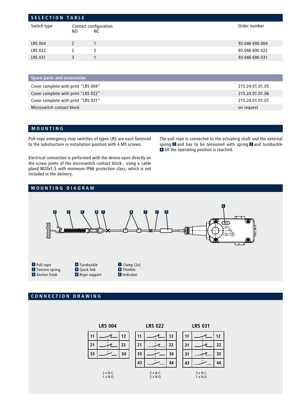| <b>SELECTION TABLE</b> |               |                             |                |  |
|------------------------|---------------|-----------------------------|----------------|--|
| Switch type            | NO.           | Contact configuration<br>NС | Order number   |  |
| <b>LRS 004</b>         | $\mathcal{L}$ |                             | 93.046 690.004 |  |
| <b>LRS 022</b>         |               | 2                           | 93.046 690.022 |  |
| <b>LRS 031</b>         | 3             |                             | 93.046 690.031 |  |
|                        |               |                             |                |  |

| <b>Spare parts and accessories</b>  |                 |
|-------------------------------------|-----------------|
| Cover complete with print "LRS 004" | 215.24.01.01.05 |
| Cover complete with print "LRS 022" | 215.24.01.01.06 |
| Cover complete with print "LRS 031" | 215.24.01.01.07 |
| Microswitch contact block           | on request      |
|                                     |                 |

### **MOUNTING**

Pull-rope emergency stop switches of types LRS are each fastened to the substructure in installation position with 4 M5 screws.

The pull rope is connected to the actuating shaft and the external spring 2 and has to be tensioned with spring 2 and turnbuckle **4** till the operating position is reached.

Electrical connection is performed with the device open directly on the screw joints of the microswitch contact block , using a cable gland M20x1.5 with minimum IP66 protection class, which is not included in the delivery.



### **CONNECTION DRAWING**